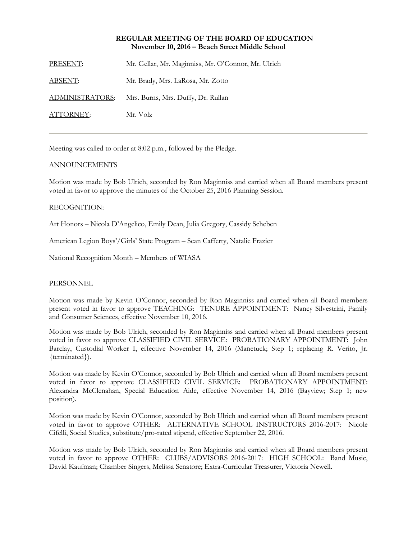## **REGULAR MEETING OF THE BOARD OF EDUCATION November 10, 2016 – Beach Street Middle School**

PRESENT: Mr. Gellar, Mr. Maginniss, Mr. O'Connor, Mr. Ulrich ABSENT: Mr. Brady, Mrs. LaRosa, Mr. Zotto

ADMINISTRATORS: Mrs. Burns, Mrs. Duffy, Dr. Rullan

ATTORNEY: Mr. Volz

Meeting was called to order at 8:02 p.m., followed by the Pledge.

# ANNOUNCEMENTS

Motion was made by Bob Ulrich, seconded by Ron Maginniss and carried when all Board members present voted in favor to approve the minutes of the October 25, 2016 Planning Session.

## RECOGNITION:

Art Honors – Nicola D'Angelico, Emily Dean, Julia Gregory, Cassidy Scheben

American Legion Boys'/Girls' State Program – Sean Cafferty, Natalie Frazier

National Recognition Month – Members of WIASA

## PERSONNEL

Motion was made by Kevin O'Connor, seconded by Ron Maginniss and carried when all Board members present voted in favor to approve TEACHING: TENURE APPOINTMENT: Nancy Silvestrini, Family and Consumer Sciences, effective November 10, 2016.

Motion was made by Bob Ulrich, seconded by Ron Maginniss and carried when all Board members present voted in favor to approve CLASSIFIED CIVIL SERVICE: PROBATIONARY APPOINTMENT: John Barclay, Custodial Worker I, effective November 14, 2016 (Manetuck; Step 1; replacing R. Verito, Jr. {terminated}).

Motion was made by Kevin O'Connor, seconded by Bob Ulrich and carried when all Board members present voted in favor to approve CLASSIFIED CIVIL SERVICE: PROBATIONARY APPOINTMENT: Alexandra McClenahan, Special Education Aide, effective November 14, 2016 (Bayview; Step 1; new position).

Motion was made by Kevin O'Connor, seconded by Bob Ulrich and carried when all Board members present voted in favor to approve OTHER: ALTERNATIVE SCHOOL INSTRUCTORS 2016-2017: Nicole Cifelli, Social Studies, substitute/pro-rated stipend, effective September 22, 2016.

Motion was made by Bob Ulrich, seconded by Ron Maginniss and carried when all Board members present voted in favor to approve OTHER: CLUBS/ADVISORS 2016-2017: HIGH SCHOOL: Band Music, David Kaufman; Chamber Singers, Melissa Senatore; Extra-Curricular Treasurer, Victoria Newell.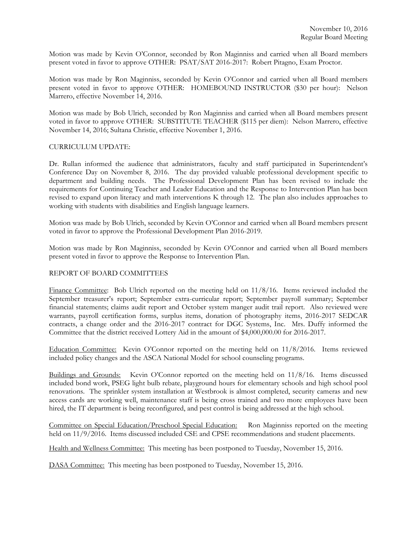Motion was made by Kevin O'Connor, seconded by Ron Maginniss and carried when all Board members present voted in favor to approve OTHER: PSAT/SAT 2016-2017: Robert Pitagno, Exam Proctor.

Motion was made by Ron Maginniss, seconded by Kevin O'Connor and carried when all Board members present voted in favor to approve OTHER: HOMEBOUND INSTRUCTOR (\$30 per hour): Nelson Marrero, effective November 14, 2016.

Motion was made by Bob Ulrich, seconded by Ron Maginniss and carried when all Board members present voted in favor to approve OTHER: SUBSTITUTE TEACHER (\$115 per diem): Nelson Marrero, effective November 14, 2016; Sultana Christie, effective November 1, 2016.

# CURRICULUM UPDATE:

Dr. Rullan informed the audience that administrators, faculty and staff participated in Superintendent's Conference Day on November 8, 2016. The day provided valuable professional development specific to department and building needs. The Professional Development Plan has been revised to include the requirements for Continuing Teacher and Leader Education and the Response to Intervention Plan has been revised to expand upon literacy and math interventions K through 12. The plan also includes approaches to working with students with disabilities and English language learners.

Motion was made by Bob Ulrich, seconded by Kevin O'Connor and carried when all Board members present voted in favor to approve the Professional Development Plan 2016-2019.

Motion was made by Ron Maginniss, seconded by Kevin O'Connor and carried when all Board members present voted in favor to approve the Response to Intervention Plan.

# REPORT OF BOARD COMMITTEES

Finance Committee: Bob Ulrich reported on the meeting held on  $11/8/16$ . Items reviewed included the September treasurer's report; September extra-curricular report; September payroll summary; September financial statements; claims audit report and October system manger audit trail report. Also reviewed were warrants, payroll certification forms, surplus items, donation of photography items, 2016-2017 SEDCAR contracts, a change order and the 2016-2017 contract for DGC Systems, Inc. Mrs. Duffy informed the Committee that the district received Lottery Aid in the amount of \$4,000,000.00 for 2016-2017.

Education Committee: Kevin O'Connor reported on the meeting held on 11/8/2016. Items reviewed included policy changes and the ASCA National Model for school counseling programs.

Buildings and Grounds: Kevin O'Connor reported on the meeting held on 11/8/16. Items discussed included bond work, PSEG light bulb rebate, playground hours for elementary schools and high school pool renovations. The sprinkler system installation at Westbrook is almost completed, security cameras and new access cards are working well, maintenance staff is being cross trained and two more employees have been hired, the IT department is being reconfigured, and pest control is being addressed at the high school.

Committee on Special Education/Preschool Special Education: Ron Maginniss reported on the meeting held on 11/9/2016. Items discussed included CSE and CPSE recommendations and student placements.

Health and Wellness Committee: This meeting has been postponed to Tuesday, November 15, 2016.

DASA Committee: This meeting has been postponed to Tuesday, November 15, 2016.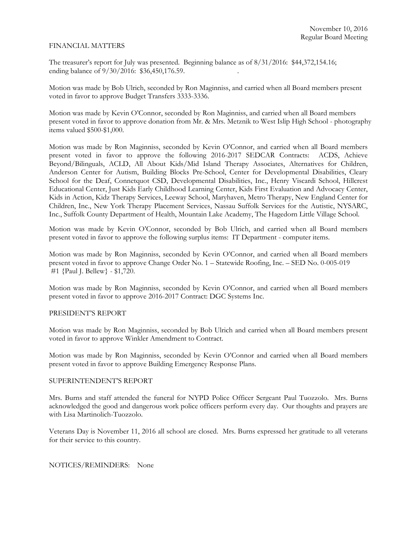## FINANCIAL MATTERS

The treasurer's report for July was presented. Beginning balance as of 8/31/2016: \$44,372,154.16; ending balance of  $9/30/2016$ : \$36,450,176.59.

Motion was made by Bob Ulrich, seconded by Ron Maginniss, and carried when all Board members present voted in favor to approve Budget Transfers 3333-3336.

Motion was made by Kevin O'Connor, seconded by Ron Maginniss, and carried when all Board members present voted in favor to approve donation from Mr. & Mrs. Metznik to West Islip High School - photography items valued \$500-\$1,000.

Motion was made by Ron Maginniss, seconded by Kevin O'Connor, and carried when all Board members present voted in favor to approve the following 2016-2017 SEDCAR Contracts: ACDS, Achieve Beyond/Bilinguals, ACLD, All About Kids/Mid Island Therapy Associates, Alternatives for Children, Anderson Center for Autism, Building Blocks Pre-School, Center for Developmental Disabilities, Cleary School for the Deaf, Connetquot CSD, Developmental Disabilities, Inc., Henry Viscardi School, Hillcrest Educational Center, Just Kids Early Childhood Learning Center, Kids First Evaluation and Advocacy Center, Kids in Action, Kidz Therapy Services, Leeway School, Maryhaven, Metro Therapy, New England Center for Children, Inc., New York Therapy Placement Services, Nassau Suffolk Services for the Autistic, NYSARC, Inc., Suffolk County Department of Health, Mountain Lake Academy, The Hagedorn Little Village School.

Motion was made by Kevin O'Connor, seconded by Bob Ulrich, and carried when all Board members present voted in favor to approve the following surplus items: IT Department - computer items.

Motion was made by Ron Maginniss, seconded by Kevin O'Connor, and carried when all Board members present voted in favor to approve Change Order No. 1 – Statewide Roofing, Inc. – SED No. 0-005-019 #1 {Paul J. Bellew} - \$1,720.

Motion was made by Ron Maginniss, seconded by Kevin O'Connor, and carried when all Board members present voted in favor to approve 2016-2017 Contract: DGC Systems Inc.

### PRESIDENT'S REPORT

Motion was made by Ron Maginniss, seconded by Bob Ulrich and carried when all Board members present voted in favor to approve Winkler Amendment to Contract.

Motion was made by Ron Maginniss, seconded by Kevin O'Connor and carried when all Board members present voted in favor to approve Building Emergency Response Plans.

### SUPERINTENDENT'S REPORT

Mrs. Burns and staff attended the funeral for NYPD Police Officer Sergeant Paul Tuozzolo. Mrs. Burns acknowledged the good and dangerous work police officers perform every day. Our thoughts and prayers are with Lisa Martinolich-Tuozzolo.

Veterans Day is November 11, 2016 all school are closed. Mrs. Burns expressed her gratitude to all veterans for their service to this country.

## NOTICES/REMINDERS: None